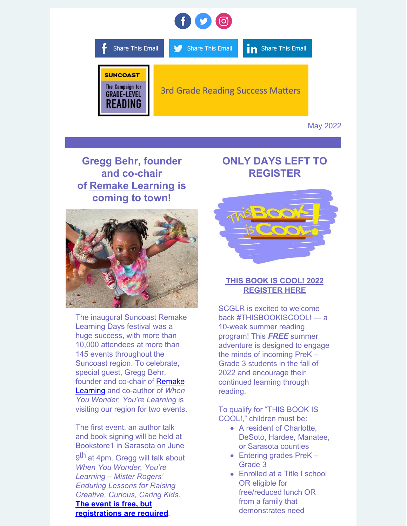

May 2022

**Gregg Behr, founder and co-chair of Remake [Learning](https://remakelearningdays.org/) is coming to town!**



The inaugural Suncoast Remake Learning Days festival was a huge success, with more than 10,000 attendees at more than 145 events throughout the Suncoast region. To celebrate, special guest, Gregg Behr, founder and co-chair of Remake Learning and [co-author](https://urldefense.proofpoint.com/v2/url?u=https-3A__www.facebook.com_remakelearning_-3F-5F-5Fcft-5F-5F-255B0-255D-3DAZWGjze6vrwh0N51mBtpVcYgiYer9qhJzJ67BRC0C91VShWRIpJwHmls1ia-5FxFxewX5vbVB3z-5FQPDgAQvqNRUfI59W-2DryVkiFQMnhJBzdaN-5FTXxXYzxAVm2dZydFtcGJ6KxW5A-5FUhFMTSYVG8Ms9mCAWtW4pCuX95azirZGrt3FhSKwOb24NfvkkN8IFpFrUgSE-26-5F-5Ftn-5F-5F-3DkK-2DR&d=DwMFaQ&c=euGZstcaTDllvimEN8b7jXrwqOf-v5A_CdpgnVfiiMM&r=QqCVsUNHp0nurLnHIWVWhVgfuIsMTng7r1pk33Uu_ink8BON0D8DDSy9u1yp35WJ&m=MlH6M_Y4yT-zRTb6z6MpsKRC_bopiokofl2kHlKyDo8&s=S77S1JrgiVYifYVVGMUaEuUqx5NMUr60FvI8I3ajZHY&e=) of *When You Wonder, You're Learning* is visiting our region for two events.

The first event, an author talk and book signing will be held at Bookstore1 in Sarasota on June

9<sup>th</sup> at 4pm. Gregg will talk about *When You Wonder, You're Learning – Mister Rogers' Enduring Lessons for Raising Creative, Curious, Caring Kids.* **The event is free, but**

**[registrations](https://www.eventbrite.com/e/gregg-behr-when-you-wonder-youre-learning-book-signing-author-talk-tickets-335585594547?fbclid=IwAR1HK6THWYxEE6_uKZTWVBngwv72gofdCSl9ZOvqBzjsQHtW_j81YYr-oDs) are required**.

## **ONLY DAYS LEFT TO REGISTER**



### **THIS BOOK IS [COOL!](https://bit.ly/38QoMjhTHISBOOKISCOOL) 2022 [REGISTER](https://bit.ly/38QoMjhTHISBOOKISCOOL) HERE**

SCGLR is excited to welcome back [#THISBOOKISCOOL](https://www.facebook.com/hashtag/thisbookiscool?__eep__=6&__cft__%5B0%5D=AZXlSc9N1xCvWJMFhjWgUweGVbOJP94SN12W1rZnxEskgEr3finV52R7oXFKtbmeQXfyVMhieN3A6-KofW75_FFkLejJzuIKluBYZNeBTSl4UzsZ5KyDrVSeqJoUS-rqmcHQnZVbmCBkvN6rh4dKarR4BE4rF4v_xgWxw6Q194YrGqA3mBSnzX_mLvpQ4jxemgg&__tn__=*NK-R)! — a 10-week summer reading program! This *FREE* summer adventure is designed to engage the minds of incoming PreK – Grade 3 students in the fall of 2022 and encourage their continued learning through reading.

To qualify for "THIS BOOK IS COOL!," children must be:

- A resident of Charlotte, DeSoto, Hardee, Manatee, or Sarasota counties
- Entering grades PreK -Grade 3
- Enrolled at a Title I school OR eligible for free/reduced lunch OR from a family that demonstrates need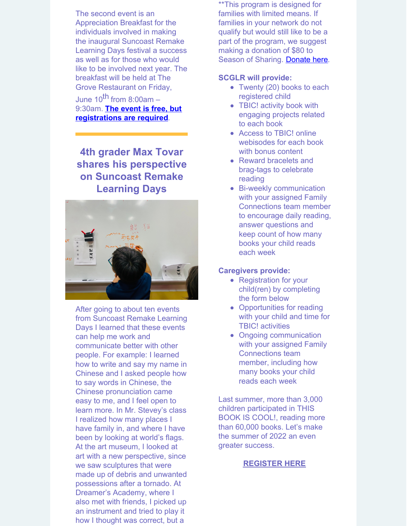The second event is an Appreciation Breakfast for the individuals involved in making the inaugural Suncoast Remake Learning Days festival a success as well as for those who would like to be involved next year. The breakfast will be held at The Grove Restaurant on Friday,

June 10<sup>th</sup> from 8:00am – 9:30am. **The event is free, but [registrations](https://docs.google.com/forms/d/e/1FAIpQLScAY_NgbCOHhnXLN_C1BA3YOU88Zpqm-jIatZLUWkbki1IL_w/viewform?fbclid=IwAR2ak20EqumC6KvgWal78i2lmFiXWmh6r9-nVW81E2ndNUH76x9rTmUCRnk) are required**.

**4th grader Max Tovar shares his perspective on Suncoast Remake Learning Days**



After going to about ten events from [Suncoast](https://www.gradelevelreadingsuncoast.net/project/suncoast-remake-learning-days/) Remake Learning Days I learned that these events can help me work and communicate better with other people. For example: I learned how to write and say my name in Chinese and I asked people how to say words in Chinese, the Chinese pronunciation came easy to me, and I feel open to learn more. In Mr. Stevey's class I realized how many places I have family in, and where I have been by looking at world's flags. At the art museum, I looked at art with a new perspective, since we saw sculptures that were made up of debris and unwanted possessions after a tornado. At Dreamer's Academy, where I also met with friends, I picked up an instrument and tried to play it how I thought was correct, but a

\*\*This program is designed for families with limited means. If families in your network do not qualify but would still like to be a part of the program, we suggest making a donation of \$80 to Season of Sharing. [Donate](https://www.cfsarasota.org/donors/support-season-of-sharing) here.

#### **SCGLR will provide:**

- Twenty (20) books to each registered child
- TBIC! activity book with engaging projects related to each book
- Access to TBIC! online webisodes for each book with bonus content
- Reward bracelets and brag-tags to celebrate reading
- Bi-weekly communication with your assigned Family Connections team member to encourage daily reading, answer questions and keep count of how many books your child reads each week

#### **Caregivers provide:**

- Registration for your child(ren) by completing the form below
- Opportunities for reading with your child and time for TBIC! activities
- Ongoing communication with your assigned Family Connections team member, including how many books your child reads each week

Last summer, more than 3,000 children participated in THIS BOOK IS COOL!, reading more than 60,000 books. Let's make the summer of 2022 an even greater success.

#### **[REGISTER](https://docs.google.com/forms/d/e/1FAIpQLSetsXT-i2tF0in4MJ3r2AZQcohXHFYXyC7spezsRWwc2NcnCw/viewform) HERE**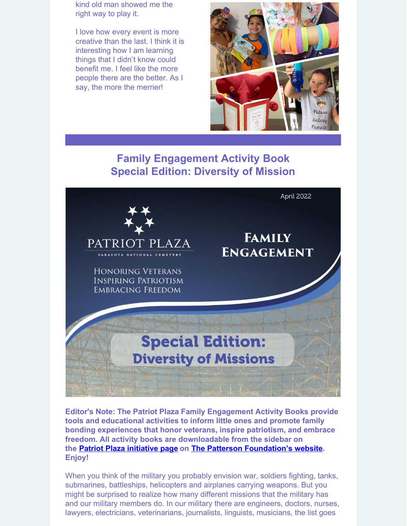kind old man showed me the right way to play it.

I love how every event is more creative than the last. I think it is interesting how I am learning things that I didn't know could benefit me. I feel like the more people there are the better. As I say, the more the merrier!



# **Family [Engagement](https://thepattersonfoundation.org/images/PP-Family-Engagement-Activity-Book_April-2022.pdf) Activity [Book](https://thepattersonfoundation.org/images/PP-Family-Engagement-Activity-Book_April-2022.pdf) Special Edition: [Diversity](https://thepattersonfoundation.org/images/PP-Family-Engagement-Activity-Book_April-2022.pdf) of Mission**



**Editor's Note: The Patriot Plaza Family Engagement Activity Books provide tools and educational activities to inform little ones and promote family bonding experiences that honor veterans, inspire patriotism, and embrace freedom. All activity books are downloadable from the sidebar on the Patriot Plaza [initiative](https://www.thepattersonfoundation.org/patriot-plaza.html) page on The Patterson [Foundation's](https://www.thepattersonfoundation.org/) website. Enjoy!**

When you think of the military you probably envision war, soldiers fighting, tanks, submarines, battleships, helicopters and airplanes carrying weapons. But you might be surprised to realize how many different missions that the military has and our military members do. In our military there are engineers, doctors, nurses, lawyers, electricians, veterinarians, journalists, linguists, musicians, the list goes